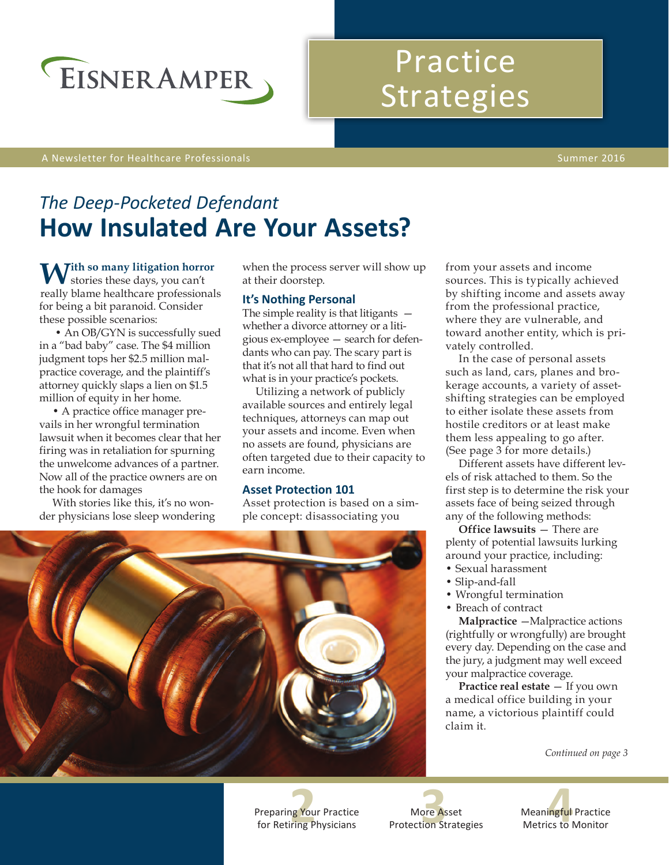

# Practice Strategies

A Newsletter for Healthcare Professionals Summer 2016

## *The Deep-Pocketed Defendant* **How Insulated Are Your Assets?**

With so many litigation horror stories these days, you can't really blame healthcare professionals for being a bit paranoid. Consider these possible scenarios:

 • An OB/GYN is successfully sued in a "bad baby" case. The \$4 million judgment tops her \$2.5 million malpractice coverage, and the plaintiff's attorney quickly slaps a lien on \$1.5 million of equity in her home.

• A practice office manager prevails in her wrongful termination lawsuit when it becomes clear that her firing was in retaliation for spurning the unwelcome advances of a partner. Now all of the practice owners are on the hook for damages

With stories like this, it's no wonder physicians lose sleep wondering when the process server will show up at their doorstep.

### **It's Nothing Personal**

The simple reality is that litigants  $$ whether a divorce attorney or a litigious ex-employee — search for defendants who can pay. The scary part is that it's not all that hard to find out what is in your practice's pockets.

Utilizing a network of publicly available sources and entirely legal techniques, attorneys can map out your assets and income. Even when no assets are found, physicians are often targeted due to their capacity to earn income.

### **Asset Protection 101**

Asset protection is based on a simple concept: disassociating you



from your assets and income sources. This is typically achieved by shifting income and assets away from the professional practice, where they are vulnerable, and toward another entity, which is privately controlled.

In the case of personal assets such as land, cars, planes and brokerage accounts, a variety of assetshifting strategies can be employed to either isolate these assets from hostile creditors or at least make them less appealing to go after. (See page 3 for more details.)

Different assets have different levels of risk attached to them. So the first step is to determine the risk your assets face of being seized through any of the following methods:

**Office lawsuits** — There are plenty of potential lawsuits lurking around your practice, including:

- Sexual harassment
- Slip-and-fall
- Wrongful termination
- Breach of contract

**Malpractice** —Malpractice actions (rightfully or wrongfully) are brought every day. Depending on the case and the jury, a judgment may well exceed your malpractice coverage.

**Practice real estate** — If you own a medical office building in your name, a victorious plaintiff could claim it.

*Continued on page 3*

Preparing Your Practice for Retiring Physicians

More Asset Protection Strategies

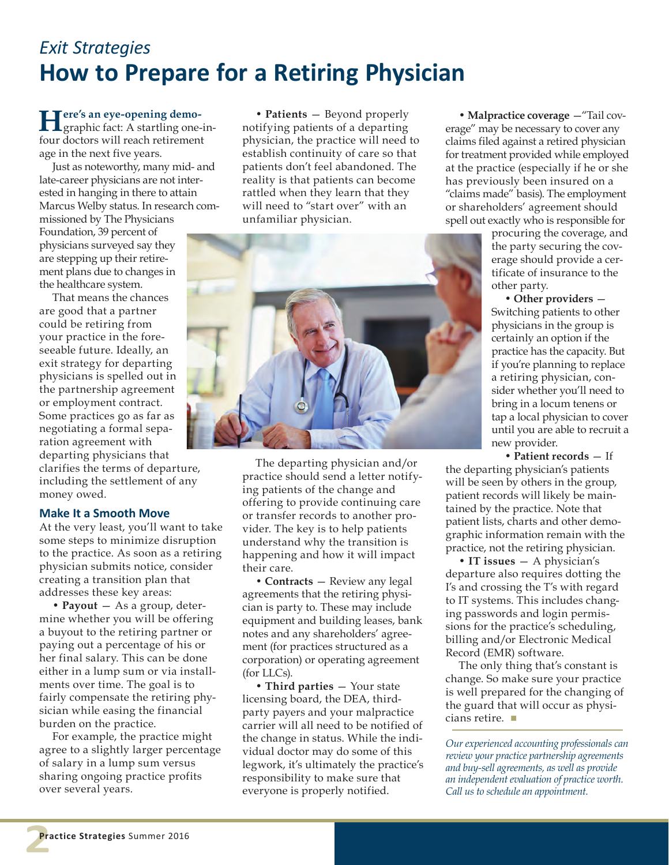### *Exit Strategies* **How to Prepare for a Retiring Physician**

**Here's an eye-opening demo-**graphic fact: A startling one-infour doctors will reach retirement age in the next five years.

Just as noteworthy, many mid- and late-career physicians are not interested in hanging in there to attain Marcus Welby status. In research com-

missioned by The Physicians Foundation, 39 percent of physicians surveyed say they are stepping up their retirement plans due to changes in the healthcare system.

That means the chances are good that a partner could be retiring from your practice in the foreseeable future. Ideally, an exit strategy for departing physicians is spelled out in the partnership agreement or employment contract. Some practices go as far as negotiating a formal separation agreement with departing physicians that clarifies the terms of departure, including the settlement of any money owed.

### **Make It a Smooth Move**

At the very least, you'll want to take some steps to minimize disruption to the practice. As soon as a retiring physician submits notice, consider creating a transition plan that addresses these key areas:

• **Payout** — As a group, determine whether you will be offering a buyout to the retiring partner or paying out a percentage of his or her final salary. This can be done either in a lump sum or via installments over time. The goal is to fairly compensate the retiring physician while easing the financial burden on the practice.

For example, the practice might agree to a slightly larger percentage of salary in a lump sum versus sharing ongoing practice profits over several years.

• **Patients** — Beyond properly notifying patients of a departing physician, the practice will need to establish continuity of care so that patients don't feel abandoned. The reality is that patients can become rattled when they learn that they will need to "start over" with an unfamiliar physician.

The departing physician and/or practice should send a letter notifying patients of the change and offering to provide continuing care or transfer records to another provider. The key is to help patients understand why the transition is happening and how it will impact their care.

**• Contracts** — Review any legal agreements that the retiring physician is party to. These may include equipment and building leases, bank notes and any shareholders' agreement (for practices structured as a corporation) or operating agreement (for LLCs).

• **Third parties** — Your state licensing board, the DEA, thirdparty payers and your malpractice carrier will all need to be notified of the change in status. While the individual doctor may do some of this legwork, it's ultimately the practice's responsibility to make sure that everyone is properly notified.

• **Malpractice coverage** —"Tail coverage" may be necessary to cover any claims filed against a retired physician for treatment provided while employed at the practice (especially if he or she has previously been insured on a "claims made" basis). The employment or shareholders' agreement should spell out exactly who is responsible for

procuring the coverage, and the party securing the coverage should provide a certificate of insurance to the other party.

• **Other providers** — Switching patients to other physicians in the group is certainly an option if the practice has the capacity. But if you're planning to replace a retiring physician, consider whether you'll need to bring in a locum tenens or tap a local physician to cover until you are able to recruit a new provider.

• **Patient records** — If the departing physician's patients will be seen by others in the group, patient records will likely be maintained by the practice. Note that patient lists, charts and other demographic information remain with the practice, not the retiring physician.

• **IT issues** — A physician's departure also requires dotting the I's and crossing the T's with regard to IT systems. This includes changing passwords and login permissions for the practice's scheduling, billing and/or Electronic Medical Record (EMR) software.

The only thing that's constant is change. So make sure your practice is well prepared for the changing of the guard that will occur as physicians retire.  $\blacksquare$ 

*Our experienced accounting professionals can review your practice partnership agreements and buy-sell agreements, as well as provide an independent evaluation of practice worth. Call us to schedule an appointment.*

**2**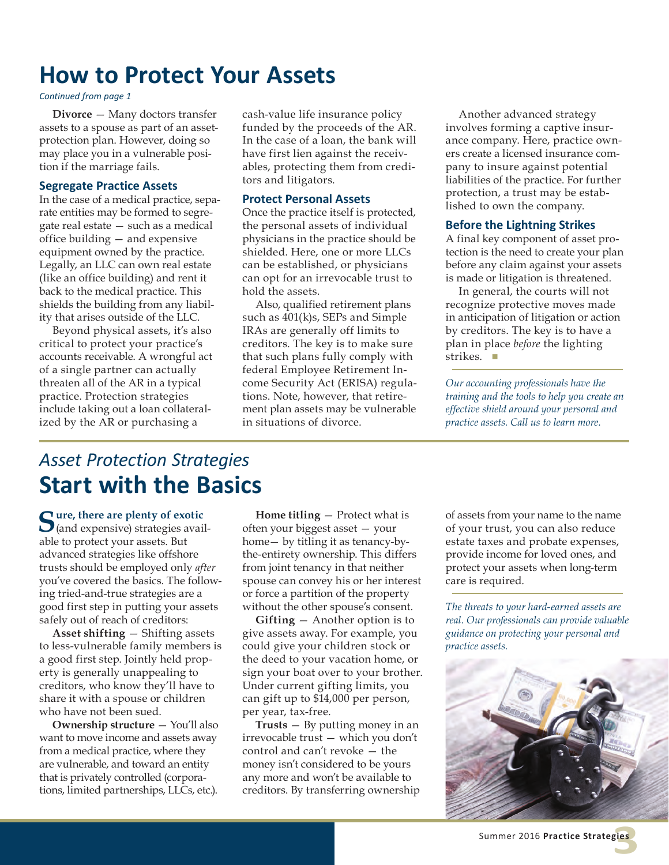### **How to Protect Your Assets**

#### *Continued from page 1*

**Divorce** — Many doctors transfer assets to a spouse as part of an assetprotection plan. However, doing so may place you in a vulnerable position if the marriage fails.

#### **Segregate Practice Assets**

In the case of a medical practice, separate entities may be formed to segregate real estate — such as a medical office building — and expensive equipment owned by the practice. Legally, an LLC can own real estate (like an office building) and rent it back to the medical practice. This shields the building from any liability that arises outside of the LLC.

Beyond physical assets, it's also critical to protect your practice's accounts receivable. A wrongful act of a single partner can actually threaten all of the AR in a typical practice. Protection strategies include taking out a loan collateralized by the AR or purchasing a

cash-value life insurance policy funded by the proceeds of the AR. In the case of a loan, the bank will have first lien against the receivables, protecting them from creditors and litigators.

#### **Protect Personal Assets**

Once the practice itself is protected, the personal assets of individual physicians in the practice should be shielded. Here, one or more LLCs can be established, or physicians can opt for an irrevocable trust to hold the assets.

Also, qualified retirement plans such as 401(k)s, SEPs and Simple IRAs are generally off limits to creditors. The key is to make sure that such plans fully comply with federal Employee Retirement Income Security Act (ERISA) regulations. Note, however, that retirement plan assets may be vulnerable in situations of divorce.

Another advanced strategy involves forming a captive insurance company. Here, practice owners create a licensed insurance company to insure against potential liabilities of the practice. For further protection, a trust may be established to own the company.

#### **Before the Lightning Strikes**

A final key component of asset protection is the need to create your plan before any claim against your assets is made or litigation is threatened.

In general, the courts will not recognize protective moves made in anticipation of litigation or action by creditors. The key is to have a plan in place *before* the lighting strikes.  $\blacksquare$ 

*Our accounting professionals have the training and the tools to help you create an effective shield around your personal and practice assets. Call us to learn more.*

### *Asset Protection Strategies* **Start with the Basics**

Sure, there are plenty of exotic (and expensive) strategies available to protect your assets. But advanced strategies like offshore trusts should be employed only *after* you've covered the basics. The following tried-and-true strategies are a good first step in putting your assets safely out of reach of creditors:

**Asset shifting** — Shifting assets to less-vulnerable family members is a good first step. Jointly held property is generally unappealing to creditors, who know they'll have to share it with a spouse or children who have not been sued.

**Ownership structure** — You'll also want to move income and assets away from a medical practice, where they are vulnerable, and toward an entity that is privately controlled (corporations, limited partnerships, LLCs, etc.).

**Home titling** — Protect what is often your biggest asset — your home— by titling it as tenancy-bythe-entirety ownership. This differs from joint tenancy in that neither spouse can convey his or her interest or force a partition of the property without the other spouse's consent.

**Gifting** — Another option is to give assets away. For example, you could give your children stock or the deed to your vacation home, or sign your boat over to your brother. Under current gifting limits, you can gift up to \$14,000 per person, per year, tax-free.

**Trusts** — By putting money in an irrevocable trust — which you don't control and can't revoke — the money isn't considered to be yours any more and won't be available to creditors. By transferring ownership of assets from your name to the name of your trust, you can also reduce estate taxes and probate expenses, provide income for loved ones, and protect your assets when long-term care is required.

*The threats to your hard-earned assets are real. Our professionals can provide valuable guidance on protecting your personal and practice assets.*